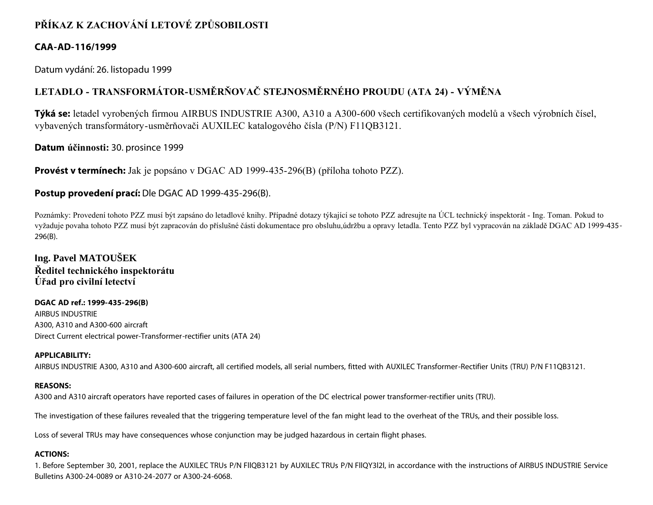# **PŘÍKAZ K ZACHOVÁNÍ LETOVÉ ZPŮSOBILOSTI**

### **CAA-AD-116/1999**

Datum vydání: 26. listopadu 1999

# **LETADLO - TRANSFORMÁTOR-USMĚRŇOVAČ STEJNOSMĚRNÉHO PROUDU (ATA 24) - VÝMĚNA**

**Týká se:** letadel vyrobených firmou AIRBUS INDUSTRIE A300, A310 a A300-600 všech certifikovaných modelů a všech výrobních čísel, vybavených transformátory-usměrňovači AUXILEC katalogového čísla (P/N) F11QB3121.

**Datum účinnosti:** 30. prosince 1999

**Provést v termínech:** Jak je popsáno v DGAC AD 1999-435-296(B) (příloha tohoto PZZ).

## **Postup provedení prací:** Dle DGAC AD 1999-435-296(B).

Poznámky: Provedení tohoto PZZ musí být zapsáno do letadlové knihy. Případné dotazy týkající se tohoto PZZ adresujte na ÚCL technický inspektorát - Ing. Toman. Pokud to vyžaduje povaha tohoto PZZ musí být zapracován do příslušné části dokumentace pro obsluhu,údržbu a opravy letadla. Tento PZZ byl vypracován na základě DGAC AD 1999-435- 296(B).

**Ing. Pavel MATOUŠEK Ředitel technického inspektorátu Úřad pro civilní letectví**

**DGAC AD ref.: 1999-435-296(B)** AIRBUS INDUSTRIE A300, A310 and A300-600 aircraft Direct Current electrical power-Transformer-rectifier units (ATA 24)

### **APPLICABILITY:**

AIRBUS INDUSTRIE A300, A310 and A300-600 aircraft, all certified models, all serial numbers, fitted with AUXILEC Transformer-Rectifier Units (TRU) P/N F11QB3121.

### **REASONS:**

A300 and A310 aircraft operators have reported cases of failures in operation of the DC electrical power transformer-rectifier units (TRU).

The investigation of these failures revealed that the triggering temperature level of the fan might lead to the overheat of the TRUs, and their possible loss.

Loss of several TRUs may have consequences whose conjunction may be judged hazardous in certain flight phases.

### **ACTIONS:**

1. Before September 30, 2001, replace the AUXILEC TRUs P/N FllQB3121 by AUXILEC TRUs P/N FllQY3l2l, in accordance with the instructions of AIRBUS INDUSTRIE Service Bulletins A300-24-0089 or A310-24-2077 or A300-24-6068.